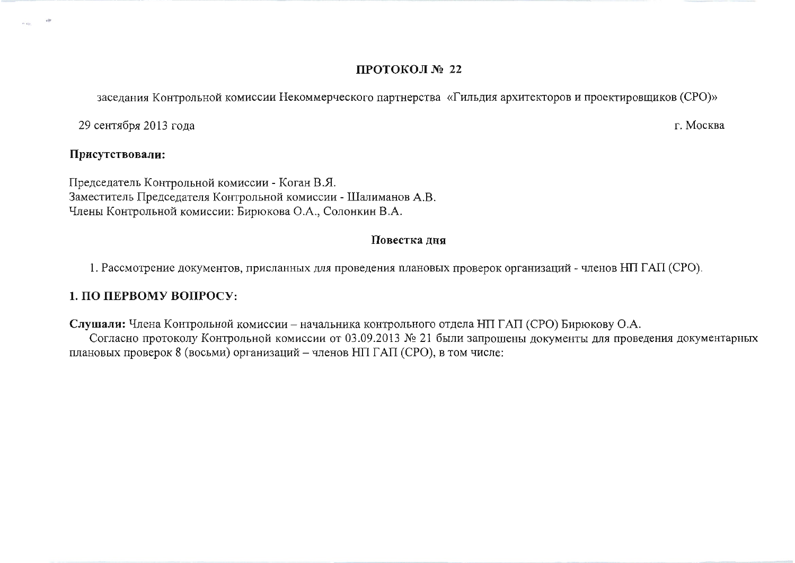## ПРОТОКОЛ № 22

заседания Контрольной комиссии Некоммерческого партнерства «Гильдия архитекторов и проектировщиков (СРО)»

г. Москва

29 сентября 2013 года

## Присутствовали:

Председатель Контрольной комиссии - Коган В.Я. Заместитель Председателя Контрольной комиссии - Шалиманов А.В. Члены Контрольной комиссии: Бирюкова О.А., Солонкин В.А.

## Повестка дня

1. Рассмотрение документов, присланных для проведения плановых проверок организаций - членов НП ГАП (СРО).

## 1. ПО ПЕРВОМУ ВОПРОСУ:

Слушали: Члена Контрольной комиссии - начальника контрольного отдела НП ГАП (СРО) Бирюкову О.А.

Согласно протоколу Контрольной комиссии от 03.09.2013 № 21 были запрошены документы для проведения документарных плановых проверок 8 (восьми) организаций - членов НП ГАП (СРО), в том числе: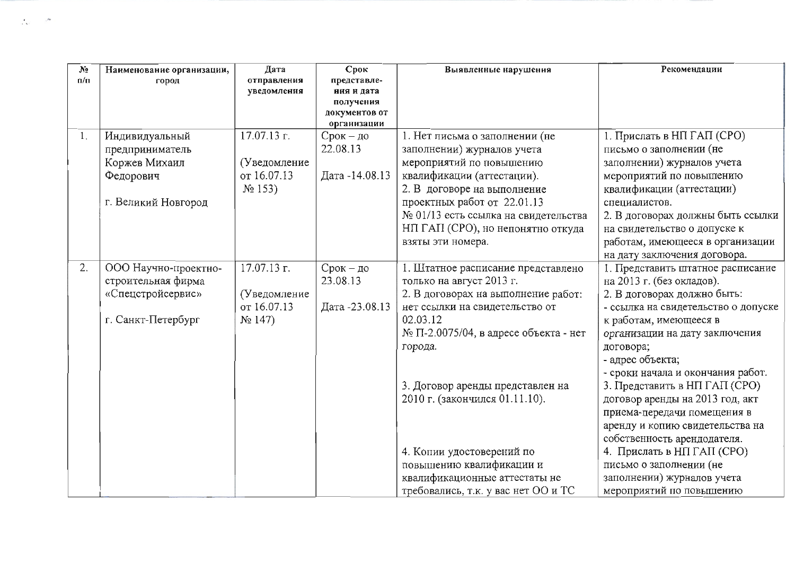| N <sub>2</sub>              | Наименование организации, | Дата         | Срок                       | Выявленные нарушения                      | Рекомендации                        |
|-----------------------------|---------------------------|--------------|----------------------------|-------------------------------------------|-------------------------------------|
| $\mathfrak{n}/\mathfrak{n}$ | город                     | отправления  | представле-                |                                           |                                     |
|                             |                           | уведомления  | ния и дата                 |                                           |                                     |
|                             |                           |              | получения<br>документов от |                                           |                                     |
|                             |                           |              | организации                |                                           |                                     |
| 1.                          | Индивидуальный            | 17.07.13 r.  | $C$ рок – до               | 1. Нет письма о заполнении (не            | 1. Прислать в НП ГАП (СРО)          |
|                             | предприниматель           |              | 22.08.13                   | заполнении) журналов учета                | письмо о заполнении (не             |
|                             | Коржев Михаил             | (Уведомление |                            | мероприятий по повышению                  | заполнении) журналов учета          |
|                             | Федорович                 | от 16.07.13  | Дата -14.08.13             | квалификации (аттестации).                | мероприятий по повышению            |
|                             |                           | $N_2$ 153)   |                            | 2. В договоре на выполнение               | квалификации (аттестации)           |
|                             | г. Великий Новгород       |              |                            | проектных работ от 22.01.13               | специалистов.                       |
|                             |                           |              |                            | № 01/13 есть ссылка на свидетельства      | 2. В договорах должны быть ссылки   |
|                             |                           |              |                            | НП ГАП (СРО), но непонятно откуда         | на свидетельство о допуске к        |
|                             |                           |              |                            | взяты эти номера.                         | работам, имеющееся в организации    |
|                             |                           |              |                            |                                           | на дату заключения договора.        |
| 2.                          | ООО Научно-проектно-      | 17.07.13 г.  | $C$ рок – до               | 1. Штатное расписание представлено        | 1. Представить штатное расписание   |
|                             | строительная фирма        |              | 23.08.13                   | только на август 2013 г.                  | на 2013 г. (без окладов).           |
|                             | «Спецстройсервис»         | (Уведомление |                            | 2. В договорах на выполнение работ:       | 2. В договорах должно быть:         |
|                             |                           | от 16.07.13  | Дата -23.08.13             | нет ссылки на свидетельство от            | - ссылка на свидетельство о допуске |
|                             | г. Санкт-Петербург        | $N_2$ 147)   |                            | 02.03.12                                  | к работам, имеющееся в              |
|                             |                           |              |                            | $N_2$ П-2.0075/04, в адресе объекта - нет | организации на дату заключения      |
|                             |                           |              |                            | города.                                   | договора;                           |
|                             |                           |              |                            |                                           | - адрес объекта;                    |
|                             |                           |              |                            |                                           | - сроки начала и окончания работ.   |
|                             |                           |              |                            | 3. Договор аренды представлен на          | 3. Представить в НП ГАП (СРО)       |
|                             |                           |              |                            | 2010 г. (закончился 01.11.10).            | договор аренды на 2013 год, акт     |
|                             |                           |              |                            |                                           | приема-передачи помещения в         |
|                             |                           |              |                            |                                           | аренду и копию свидетельства на     |
|                             |                           |              |                            |                                           | собственность арендодателя.         |
|                             |                           |              |                            | 4. Копии удостоверений по                 | 4. Прислать в НП ГАП (СРО)          |
|                             |                           |              |                            | повышению квалификации и                  | письмо о заполнении (не             |
|                             |                           |              |                            | квалификационные аттестаты не             | заполнении) журналов учета          |
|                             |                           |              |                            | требовались, т.к. у вас нет ОО и ТС       | мероприятий по повышению            |

 $\mathcal{F}_\omega$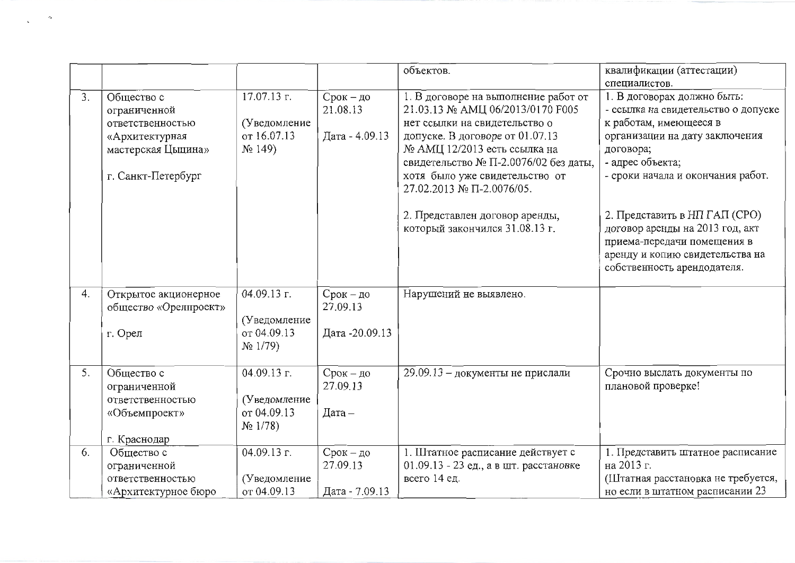|    |                       |               |                 | объектов.                                                   | квалификации (аттестации)           |
|----|-----------------------|---------------|-----------------|-------------------------------------------------------------|-------------------------------------|
|    |                       |               |                 |                                                             | специалистов.                       |
| 3. | Общество с            | 17.07.13 г.   | Срок – до       | 1. В договоре на выполнение работ от                        | 1. В договорах должно быть:         |
|    | ограниченной          |               | 21.08.13        | 21.03.13 № AMII 06/2013/0170 F005                           | - ссылка на свидетельство о допуске |
|    | ответственностью      | (Уведомление  |                 | нет ссылки на свидетельство о                               | к работам, имеющееся в              |
|    | «Архитектурная        | or 16.07.13   | Дата - 4.09.13  | допуске. В договоре от 01.07.13                             | организации на дату заключения      |
|    | мастерская Цыцина»    | $N2$ 149)     |                 | № АМЦ 12/2013 есть ссылка на                                | договора;                           |
|    |                       |               |                 | свидетельство № П-2.0076/02 без даты,                       | - адрес объекта;                    |
|    | г. Санкт-Петербург    |               |                 | хотя было уже свидетельство от<br>27.02.2013 № П-2.0076/05. | - сроки начала и окончания работ.   |
|    |                       |               |                 |                                                             |                                     |
|    |                       |               |                 | 2. Представлен договор аренды,                              | 2. Представить в НП ГАП (СРО)       |
|    |                       |               |                 | который закончился 31.08.13 г.                              | договор аренды на 2013 год, акт     |
|    |                       |               |                 |                                                             | приема-передачи помещения в         |
|    |                       |               |                 |                                                             | аренду и копию свидетельства на     |
|    |                       |               |                 |                                                             | собственность арендодателя.         |
| 4. | Открытое акционерное  | 04.09.13 г.   | Срок - до       | Нарушений не выявлено.                                      |                                     |
|    | общество «Орелпроект» |               | 27.09.13        |                                                             |                                     |
|    |                       | (Уведомление  |                 |                                                             |                                     |
|    | г. Орел               | от 04.09.13   | Дата - 20.09.13 |                                                             |                                     |
|    |                       | $N_2$ 1/79)   |                 |                                                             |                                     |
|    |                       |               |                 |                                                             |                                     |
| 5. | Общество с            | $04.09.13$ г. | Срок - до       | 29.09.13 - документы не прислали                            | Срочно выслать документы по         |
|    | ограниченной          |               | 27.09.13        |                                                             | плановой проверке!                  |
|    | ответственностью      | (Уведомление  |                 |                                                             |                                     |
|    | «Объемпроект»         | or 04.09.13   | Дата $-$        |                                                             |                                     |
|    |                       | $N_2$ 1/78)   |                 |                                                             |                                     |
|    | г. Краснодар          |               |                 |                                                             |                                     |
| 6. | Общество с            | $04.09.13$ r. | $C$ рок – до    | 1. Штатное расписание действует с                           | 1. Представить штатное расписание   |
|    | ограниченной          |               | 27.09.13        | 01.09.13 - 23 ед., а в шт. расстановке                      | на 2013 г.                          |
|    | ответственностью      | (Уведомление  |                 | всего 14 ед.                                                | (Штатная расстановка не требуется,  |
|    | «Архитектурное бюро   | от 04.09.13   | Дата - 7.09.13  |                                                             | но если в штатном расписании 23     |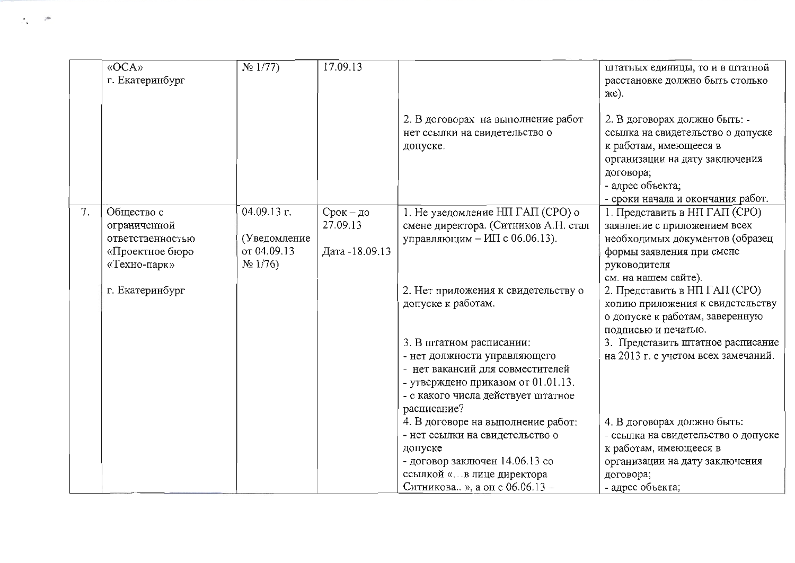|    | «OCA»<br>г. Екатеринбург                                          | $N_2$ 1/77)                                  | 17.09.13                                |                                                                                                                                                                                         | штатных единицы, то и в штатной<br>расстановке должно быть столько<br>же).                                                                                                                           |
|----|-------------------------------------------------------------------|----------------------------------------------|-----------------------------------------|-----------------------------------------------------------------------------------------------------------------------------------------------------------------------------------------|------------------------------------------------------------------------------------------------------------------------------------------------------------------------------------------------------|
|    |                                                                   |                                              |                                         | 2. В договорах на выполнение работ<br>нет ссылки на свидетельство о<br>допуске.                                                                                                         | 2. В договорах должно быть: -<br>ссылка на свидетельство о допуске<br>к работам, имеющееся в<br>организации на дату заключения<br>договора;<br>- адрес объекта;<br>- сроки начала и окончания работ. |
| 7. | Общество с<br>ограниченной<br>ответственностью<br>«Проектное бюро | $04.09.13$ r.<br>(Уведомление<br>от 04.09.13 | Срок - до<br>27.09.13<br>Дата -18.09.13 | 1. Не уведомление НП ГАП (СРО) о<br>смене директора. (Ситников А.Н. стал<br>управляющим - ИП с 06.06.13).                                                                               | 1. Представить в НП ГАП (СРО)<br>заявление с приложением всех<br>необходимых документов (образец<br>формы заявления при смене                                                                        |
|    | «Техно-парк»<br>г. Екатеринбург                                   | $N_2$ 1/76)                                  |                                         | 2. Нет приложения к свидетельству о<br>допуске к работам.                                                                                                                               | руководителя<br>см. на нашем сайте).<br>2. Представить в НП ГАП (СРО)<br>копию приложения к свидетельству<br>о допуске к работам, заверенную<br>подписью и печатью.                                  |
|    |                                                                   |                                              |                                         | 3. В штатном расписании:<br>- нет должности управляющего<br>- нет вакансий для совместителей<br>- утверждено приказом от 01.01.13.<br>- с какого числа действует штатное<br>расписание? | 3. Представить штатное расписание<br>на 2013 г. с учетом всех замечаний.                                                                                                                             |
|    |                                                                   |                                              |                                         | 4. В договоре на выполнение работ:<br>- нет ссылки на свидетельство о<br>допуске<br>- договор заключен 14.06.13 со<br>ссылкой «в лице директора<br>Ситникова », а он с 06.06.13 -       | 4. В договорах должно быть:<br>- ссылка на свидетельство о допуске<br>к работам, имеющееся в<br>организации на дату заключения<br>договора;<br>- адрес объекта;                                      |

 $\sim 10$ 

 $\mathcal{L}_{\mathfrak{a}}$